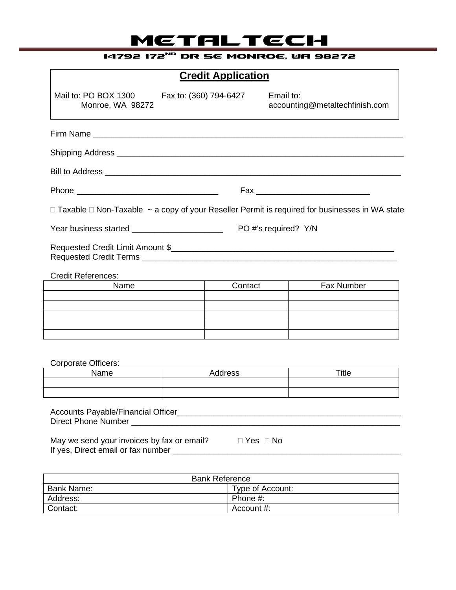# **METALTECH**

## **14792 172ND DR SE MONROE, WA 98272**

| <b>Credit Application</b>                                                        |         |             |                                                                                                                |  |  |
|----------------------------------------------------------------------------------|---------|-------------|----------------------------------------------------------------------------------------------------------------|--|--|
| Mail to: PO BOX 1300 Fax to: (360) 794-6427<br>Monroe, WA 98272                  |         |             | Email to:<br>accounting@metaltechfinish.com                                                                    |  |  |
|                                                                                  |         |             |                                                                                                                |  |  |
|                                                                                  |         |             |                                                                                                                |  |  |
|                                                                                  |         |             |                                                                                                                |  |  |
|                                                                                  |         |             |                                                                                                                |  |  |
|                                                                                  |         |             | $\Box$ Taxable $\Box$ Non-Taxable $\sim$ a copy of your Reseller Permit is required for businesses in WA state |  |  |
| Year business started _________________________<br>PO #'s required? Y/N          |         |             |                                                                                                                |  |  |
|                                                                                  |         |             |                                                                                                                |  |  |
| <b>Credit References:</b>                                                        |         |             |                                                                                                                |  |  |
| Name                                                                             |         | Contact     | Fax Number                                                                                                     |  |  |
|                                                                                  |         |             |                                                                                                                |  |  |
|                                                                                  |         |             |                                                                                                                |  |  |
|                                                                                  |         |             |                                                                                                                |  |  |
| <b>Corporate Officers:</b>                                                       |         |             |                                                                                                                |  |  |
| Name                                                                             | Address |             | Title                                                                                                          |  |  |
|                                                                                  |         |             |                                                                                                                |  |  |
|                                                                                  |         |             |                                                                                                                |  |  |
| May we send your invoices by fax or email?<br>If yes, Direct email or fax number |         | ⊟ Yes  ⊟ No |                                                                                                                |  |  |

| <b>Bank Reference</b> |                  |  |  |
|-----------------------|------------------|--|--|
| Bank Name:            | Type of Account: |  |  |
| Address:              | Phone #:         |  |  |
| Contact:              | Account #:       |  |  |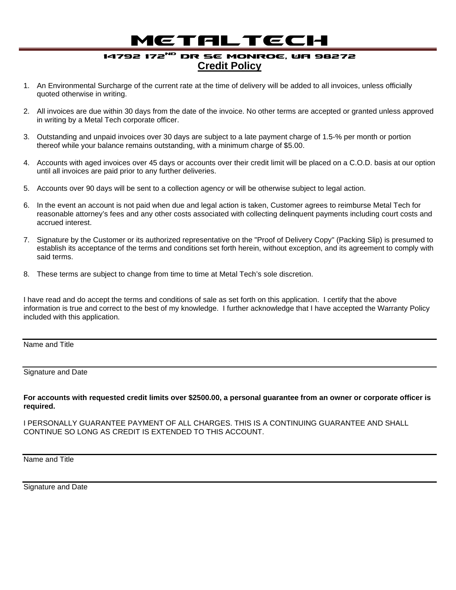## **METALTECH**

### **14792 172ND DR SE MONROE, WA 98272 Credit Policy**

- 1. An Environmental Surcharge of the current rate at the time of delivery will be added to all invoices, unless officially quoted otherwise in writing.
- 2. All invoices are due within 30 days from the date of the invoice. No other terms are accepted or granted unless approved in writing by a Metal Tech corporate officer.
- 3. Outstanding and unpaid invoices over 30 days are subject to a late payment charge of 1.5-% per month or portion thereof while your balance remains outstanding, with a minimum charge of \$5.00.
- 4. Accounts with aged invoices over 45 days or accounts over their credit limit will be placed on a C.O.D. basis at our option until all invoices are paid prior to any further deliveries.
- 5. Accounts over 90 days will be sent to a collection agency or will be otherwise subject to legal action.
- 6. In the event an account is not paid when due and legal action is taken, Customer agrees to reimburse Metal Tech for reasonable attorney's fees and any other costs associated with collecting delinquent payments including court costs and accrued interest.
- 7. Signature by the Customer or its authorized representative on the "Proof of Delivery Copy" (Packing Slip) is presumed to establish its acceptance of the terms and conditions set forth herein, without exception, and its agreement to comply with said terms.
- 8. These terms are subject to change from time to time at Metal Tech's sole discretion.

I have read and do accept the terms and conditions of sale as set forth on this application. I certify that the above information is true and correct to the best of my knowledge. I further acknowledge that I have accepted the Warranty Policy included with this application.

Name and Title

#### Signature and Date

**For accounts with requested credit limits over \$2500.00, a personal guarantee from an owner or corporate officer is required.**

I PERSONALLY GUARANTEE PAYMENT OF ALL CHARGES. THIS IS A CONTINUING GUARANTEE AND SHALL CONTINUE SO LONG AS CREDIT IS EXTENDED TO THIS ACCOUNT.

Name and Title

Signature and Date